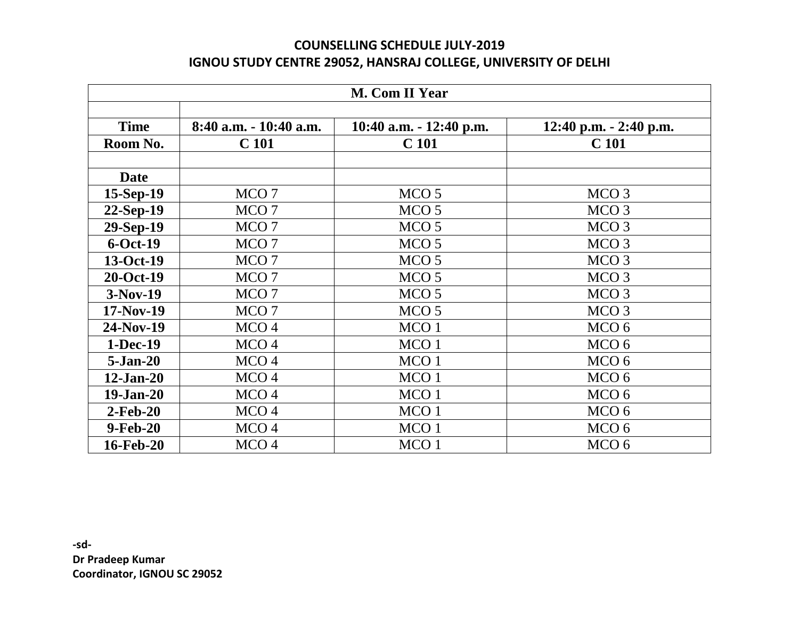## **COUNSELLING SCHEDULE JULY-2019 IGNOU STUDY CENTRE 29052, HANSRAJ COLLEGE, UNIVERSITY OF DELHI**

| <b>M. Com II Year</b> |                        |                           |                            |  |
|-----------------------|------------------------|---------------------------|----------------------------|--|
| <b>Time</b>           | 8:40 a.m. - 10:40 a.m. | 10:40 a.m. $- 12:40$ p.m. | $12:40$ p.m. $- 2:40$ p.m. |  |
| Room No.              | C <sub>101</sub>       | C <sub>101</sub>          | C <sub>101</sub>           |  |
| <b>Date</b>           |                        |                           |                            |  |
| $15-Sep-19$           | MCO <sub>7</sub>       | MCO <sub>5</sub>          | MCO <sub>3</sub>           |  |
| 22-Sep-19             | MCO <sub>7</sub>       | MCO <sub>5</sub>          | MCO <sub>3</sub>           |  |
| 29-Sep-19             | MCO <sub>7</sub>       | MCO <sub>5</sub>          | MCO <sub>3</sub>           |  |
| $6-Oct-19$            | MCO <sub>7</sub>       | MCO <sub>5</sub>          | MCO <sub>3</sub>           |  |
| 13-Oct-19             | MCO <sub>7</sub>       | MCO <sub>5</sub>          | MCO <sub>3</sub>           |  |
| 20-Oct-19             | MCO <sub>7</sub>       | MCO <sub>5</sub>          | MCO <sub>3</sub>           |  |
| $3-Nov-19$            | MCO <sub>7</sub>       | MCO <sub>5</sub>          | MCO <sub>3</sub>           |  |
| $17-Nov-19$           | MCO <sub>7</sub>       | MCO <sub>5</sub>          | MCO <sub>3</sub>           |  |
| 24-Nov-19             | MCO <sub>4</sub>       | MCO <sub>1</sub>          | MCO <sub>6</sub>           |  |
| 1-Dec-19              | MCO <sub>4</sub>       | MCO <sub>1</sub>          | MCO <sub>6</sub>           |  |
| $5-Jan-20$            | MCO <sub>4</sub>       | MCO <sub>1</sub>          | MCO <sub>6</sub>           |  |
| $12-Jan-20$           | MCO <sub>4</sub>       | MCO <sub>1</sub>          | MCO <sub>6</sub>           |  |
| $19-Jan-20$           | MCO <sub>4</sub>       | MCO <sub>1</sub>          | MCO <sub>6</sub>           |  |
| $2-Feb-20$            | MCO <sub>4</sub>       | MCO <sub>1</sub>          | MCO <sub>6</sub>           |  |
| 9-Feb-20              | MCO <sub>4</sub>       | MCO <sub>1</sub>          | MCO <sub>6</sub>           |  |
| 16-Feb-20             | MCO <sub>4</sub>       | MCO <sub>1</sub>          | MCO <sub>6</sub>           |  |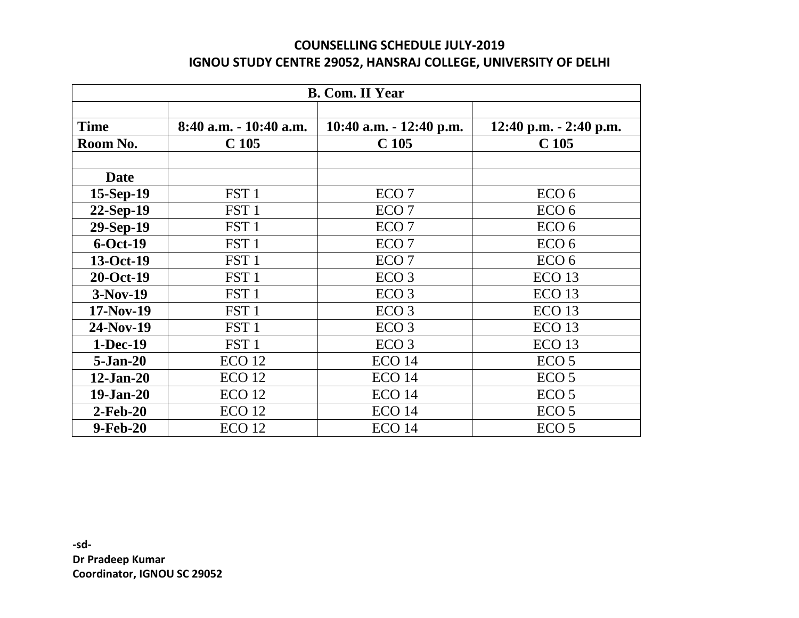## **COUNSELLING SCHEDULE JULY-2019 IGNOU STUDY CENTRE 29052, HANSRAJ COLLEGE, UNIVERSITY OF DELHI**

| <b>B. Com. II Year</b> |                           |                           |                          |  |
|------------------------|---------------------------|---------------------------|--------------------------|--|
|                        |                           |                           |                          |  |
| <b>Time</b>            | $8:40$ a.m. $-10:40$ a.m. | 10:40 a.m. $-$ 12:40 p.m. | 12:40 p.m. $-$ 2:40 p.m. |  |
| Room No.               | C <sub>105</sub>          | C <sub>105</sub>          | C <sub>105</sub>         |  |
|                        |                           |                           |                          |  |
| <b>Date</b>            |                           |                           |                          |  |
| $15-Sep-19$            | FST <sub>1</sub>          | ECO <sub>7</sub>          | ECO <sub>6</sub>         |  |
| $22-Sep-19$            | FST <sub>1</sub>          | ECO <sub>7</sub>          | ECO <sub>6</sub>         |  |
| $29-Sep-19$            | FST <sub>1</sub>          | ECO <sub>7</sub>          | ECO <sub>6</sub>         |  |
| $6$ -Oct-19            | FST <sub>1</sub>          | ECO <sub>7</sub>          | ECO <sub>6</sub>         |  |
| 13-Oct-19              | FST <sub>1</sub>          | ECO <sub>7</sub>          | ECO <sub>6</sub>         |  |
| 20-Oct-19              | FST <sub>1</sub>          | ECO <sub>3</sub>          | ECO <sub>13</sub>        |  |
| $3-Nov-19$             | FST <sub>1</sub>          | ECO <sub>3</sub>          | ECO <sub>13</sub>        |  |
| $17-Nov-19$            | FST <sub>1</sub>          | ECO <sub>3</sub>          | ECO <sub>13</sub>        |  |
| $24-Nov-19$            | FST <sub>1</sub>          | ECO <sub>3</sub>          | ECO <sub>13</sub>        |  |
| $1-Dec-19$             | FST <sub>1</sub>          | ECO <sub>3</sub>          | ECO <sub>13</sub>        |  |
| $5-Jan-20$             | ECO <sub>12</sub>         | ECO <sub>14</sub>         | ECO <sub>5</sub>         |  |
| $12$ -Jan-20           | ECO <sub>12</sub>         | <b>ECO 14</b>             | ECO <sub>5</sub>         |  |
| $19-Jan-20$            | ECO <sub>12</sub>         | <b>ECO 14</b>             | ECO <sub>5</sub>         |  |
| $2-Feb-20$             | ECO <sub>12</sub>         | ECO <sub>14</sub>         | ECO <sub>5</sub>         |  |
| 9-Feb-20               | ECO <sub>12</sub>         | ECO <sub>14</sub>         | ECO <sub>5</sub>         |  |